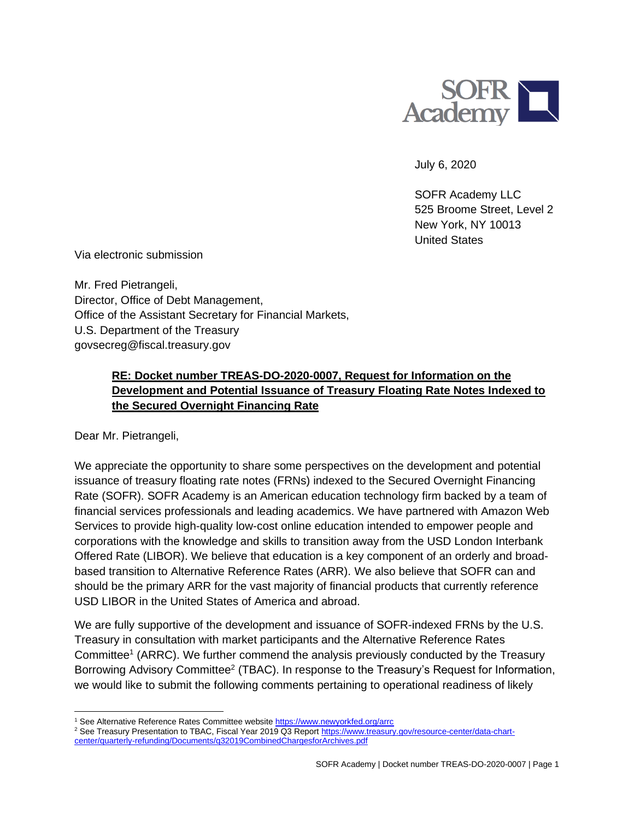

July 6, 2020

SOFR Academy LLC 525 Broome Street, Level 2 New York, NY 10013 United States

Via electronic submission

Mr. Fred Pietrangeli, Director, Office of Debt Management, Office of the Assistant Secretary for Financial Markets, U.S. Department of the Treasury govsecreg@fiscal.treasury.gov

## **RE: Docket number TREAS-DO-2020-0007, Request for Information on the Development and Potential Issuance of Treasury Floating Rate Notes Indexed to the Secured Overnight Financing Rate**

Dear Mr. Pietrangeli,

We appreciate the opportunity to share some perspectives on the development and potential issuance of treasury floating rate notes (FRNs) indexed to the Secured Overnight Financing Rate (SOFR). SOFR Academy is an American education technology firm backed by a team of financial services professionals and leading academics. We have partnered with Amazon Web Services to provide high-quality low-cost online education intended to empower people and corporations with the knowledge and skills to transition away from the USD London Interbank Offered Rate (LIBOR). We believe that education is a key component of an orderly and broadbased transition to Alternative Reference Rates (ARR). We also believe that SOFR can and should be the primary ARR for the vast majority of financial products that currently reference USD LIBOR in the United States of America and abroad.

We are fully supportive of the development and issuance of SOFR-indexed FRNs by the U.S. Treasury in consultation with market participants and the Alternative Reference Rates Committee<sup>1</sup> (ARRC). We further commend the analysis previously conducted by the Treasury Borrowing Advisory Committee<sup>2</sup> (TBAC). In response to the Treasury's Request for Information, we would like to submit the following comments pertaining to operational readiness of likely

<sup>1</sup> See Alternative Reference Rates Committee website<https://www.newyorkfed.org/arrc>

<sup>&</sup>lt;sup>2</sup> See Treasury Presentation to TBAC, Fiscal Year 2019 Q3 Repor[t https://www.treasury.gov/resource-center/data-chart](https://www.treasury.gov/resource-center/data-chart-center/quarterly-refunding/Documents/q32019CombinedChargesforArchives.pdf)[center/quarterly-refunding/Documents/q32019CombinedChargesforArchives.pdf](https://www.treasury.gov/resource-center/data-chart-center/quarterly-refunding/Documents/q32019CombinedChargesforArchives.pdf)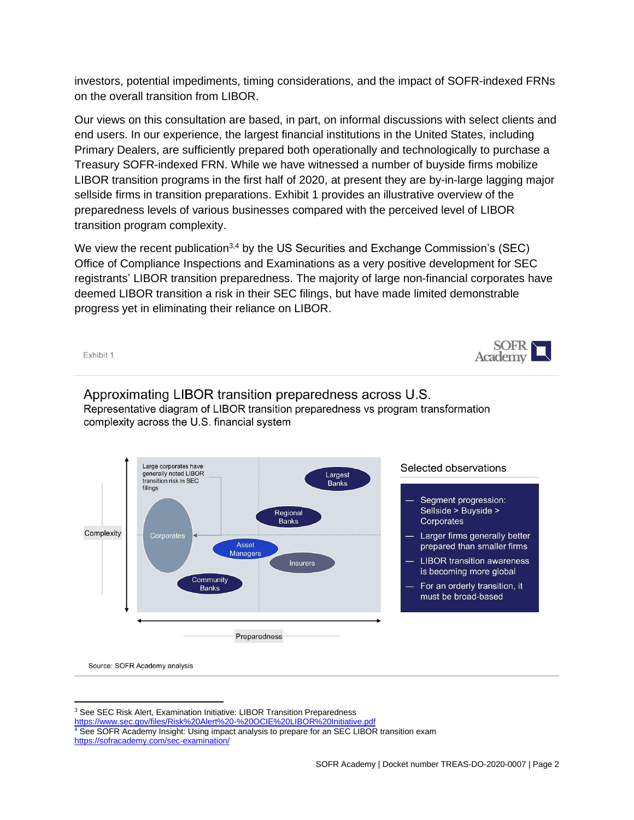investors, potential impediments, timing considerations, and the impact of SOFR-indexed FRNs on the overall transition from LIBOR.

Our views on this consultation are based, in part, on informal discussions with select clients and end users. In our experience, the largest financial institutions in the United States, including Primary Dealers, are sufficiently prepared both operationally and technologically to purchase a Treasury SOFR-indexed FRN. While we have witnessed a number of buyside firms mobilize LIBOR transition programs in the first half of 2020, at present they are by-in-large lagging major sellside firms in transition preparations. Exhibit 1 provides an illustrative overview of the preparedness levels of various businesses compared with the perceived level of LIBOR transition program complexity.

We view the recent publication<sup>3,4</sup> by the US Securities and Exchange Commission's (SEC) Office of Compliance Inspections and Examinations as a very positive development for SEC registrants' LIBOR transition preparedness. The majority of large non-financial corporates have deemed LIBOR transition a risk in their SEC filings, but have made limited demonstrable progress yet in eliminating their reliance on LIBOR.

Exhibit 1



## Approximating LIBOR transition preparedness across U.S. Representative diagram of LIBOR transition preparedness vs program transformation complexity across the U.S. financial system



Source: SOFR Academy analysis

<sup>3</sup> See SEC Risk Alert, Examination Initiative: LIBOR Transition Preparedness

<https://www.sec.gov/files/Risk%20Alert%20-%20OCIE%20LIBOR%20Initiative.pdf>

 $4\overline{6}$  See SOFR Academy Insight: Using impact analysis to prepare for an SEC LIBOR transition exam <https://sofracademy.com/sec-examination/>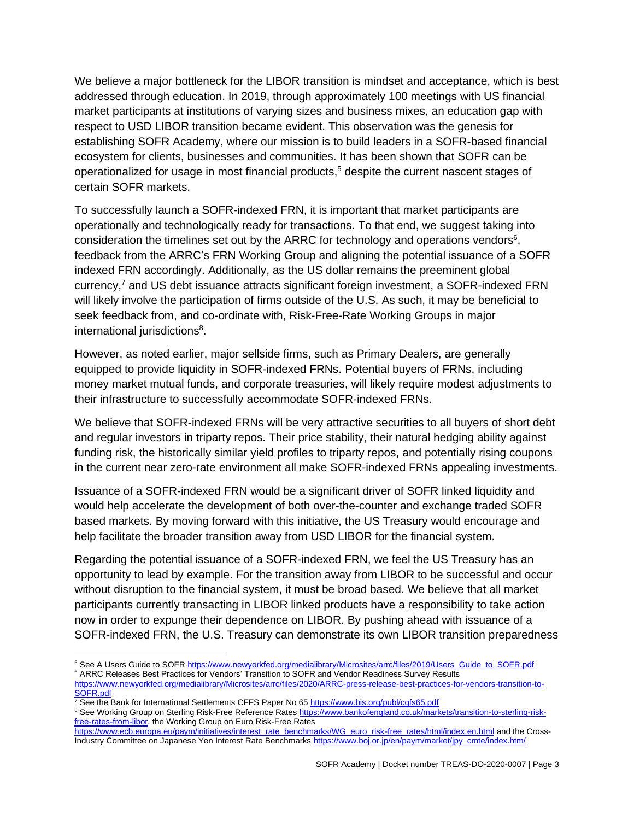We believe a major bottleneck for the LIBOR transition is mindset and acceptance, which is best addressed through education. In 2019, through approximately 100 meetings with US financial market participants at institutions of varying sizes and business mixes, an education gap with respect to USD LIBOR transition became evident. This observation was the genesis for establishing SOFR Academy, where our mission is to build leaders in a SOFR-based financial ecosystem for clients, businesses and communities. It has been shown that SOFR can be operationalized for usage in most financial products, <sup>5</sup> despite the current nascent stages of certain SOFR markets.

To successfully launch a SOFR-indexed FRN, it is important that market participants are operationally and technologically ready for transactions. To that end, we suggest taking into consideration the timelines set out by the ARRC for technology and operations vendors $6$ , feedback from the ARRC's FRN Working Group and aligning the potential issuance of a SOFR indexed FRN accordingly. Additionally, as the US dollar remains the preeminent global currency, <sup>7</sup> and US debt issuance attracts significant foreign investment, a SOFR-indexed FRN will likely involve the participation of firms outside of the U.S. As such, it may be beneficial to seek feedback from, and co-ordinate with, Risk-Free-Rate Working Groups in major international jurisdictions<sup>8</sup>.

However, as noted earlier, major sellside firms, such as Primary Dealers, are generally equipped to provide liquidity in SOFR-indexed FRNs. Potential buyers of FRNs, including money market mutual funds, and corporate treasuries, will likely require modest adjustments to their infrastructure to successfully accommodate SOFR-indexed FRNs.

We believe that SOFR-indexed FRNs will be very attractive securities to all buyers of short debt and regular investors in triparty repos. Their price stability, their natural hedging ability against funding risk, the historically similar yield profiles to triparty repos, and potentially rising coupons in the current near zero-rate environment all make SOFR-indexed FRNs appealing investments.

Issuance of a SOFR-indexed FRN would be a significant driver of SOFR linked liquidity and would help accelerate the development of both over-the-counter and exchange traded SOFR based markets. By moving forward with this initiative, the US Treasury would encourage and help facilitate the broader transition away from USD LIBOR for the financial system.

Regarding the potential issuance of a SOFR-indexed FRN, we feel the US Treasury has an opportunity to lead by example. For the transition away from LIBOR to be successful and occur without disruption to the financial system, it must be broad based. We believe that all market participants currently transacting in LIBOR linked products have a responsibility to take action now in order to expunge their dependence on LIBOR. By pushing ahead with issuance of a SOFR-indexed FRN, the U.S. Treasury can demonstrate its own LIBOR transition preparedness

<sup>7</sup> See the Bank for International Settlements CFFS Paper No 65<https://www.bis.org/publ/cgfs65.pdf>

<sup>8</sup> See Working Group on Sterling Risk-Free Reference Rates [https://www.bankofengland.co.uk/markets/transition-to-sterling-risk](https://www.bankofengland.co.uk/markets/transition-to-sterling-risk-free-rates-from-libor)[free-rates-from-libor,](https://www.bankofengland.co.uk/markets/transition-to-sterling-risk-free-rates-from-libor) the Working Group on Euro Risk-Free Rates

<sup>5</sup> See A Users Guide to SOFR [https://www.newyorkfed.org/medialibrary/Microsites/arrc/files/2019/Users\\_Guide\\_to\\_SOFR.pdf](https://www.newyorkfed.org/medialibrary/Microsites/arrc/files/2019/Users_Guide_to_SOFR.pdf)

<sup>&</sup>lt;sup>6</sup> ARRC Releases Best Practices for Vendors' Transition to SOFR and Vendor Readiness Survey Results

[https://www.newyorkfed.org/medialibrary/Microsites/arrc/files/2020/ARRC-press-release-best-practices-for-vendors-transition-to-](https://www.newyorkfed.org/medialibrary/Microsites/arrc/files/2020/ARRC-press-release-best-practices-for-vendors-transition-to-SOFR.pdf)[SOFR.pdf](https://www.newyorkfed.org/medialibrary/Microsites/arrc/files/2020/ARRC-press-release-best-practices-for-vendors-transition-to-SOFR.pdf)

[https://www.ecb.europa.eu/paym/initiatives/interest\\_rate\\_benchmarks/WG\\_euro\\_risk-free\\_rates/html/index.en.html](https://www.ecb.europa.eu/paym/initiatives/interest_rate_benchmarks/WG_euro_risk-free_rates/html/index.en.html) and the CrossIndustry Committee on Japanese Yen Interest Rate Benchmarks [https://www.boj.or.jp/en/paym/market/jpy\\_cmte/index.htm/](https://www.boj.or.jp/en/paym/market/jpy_cmte/index.htm/)